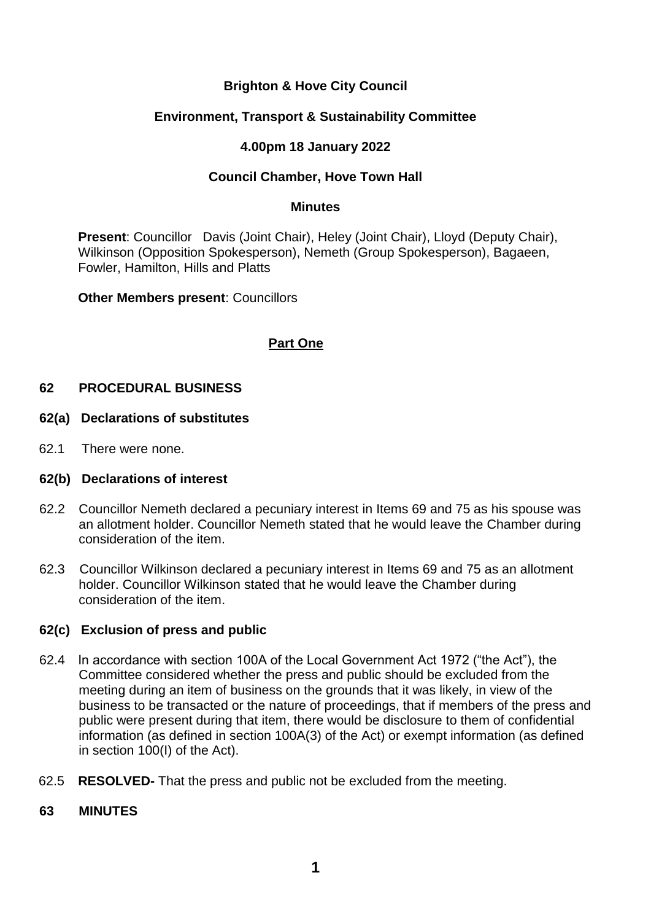# **Brighton & Hove City Council**

## **Environment, Transport & Sustainability Committee**

## **4.00pm 18 January 2022**

## **Council Chamber, Hove Town Hall**

#### **Minutes**

**Present**: Councillor Davis (Joint Chair), Heley (Joint Chair), Lloyd (Deputy Chair), Wilkinson (Opposition Spokesperson), Nemeth (Group Spokesperson), Bagaeen, Fowler, Hamilton, Hills and Platts

**Other Members present**: Councillors

# **Part One**

## **62 PROCEDURAL BUSINESS**

#### **62(a) Declarations of substitutes**

62.1 There were none.

#### **62(b) Declarations of interest**

- 62.2 Councillor Nemeth declared a pecuniary interest in Items 69 and 75 as his spouse was an allotment holder. Councillor Nemeth stated that he would leave the Chamber during consideration of the item.
- 62.3 Councillor Wilkinson declared a pecuniary interest in Items 69 and 75 as an allotment holder. Councillor Wilkinson stated that he would leave the Chamber during consideration of the item.

### **62(c) Exclusion of press and public**

- 62.4 In accordance with section 100A of the Local Government Act 1972 ("the Act"), the Committee considered whether the press and public should be excluded from the meeting during an item of business on the grounds that it was likely, in view of the business to be transacted or the nature of proceedings, that if members of the press and public were present during that item, there would be disclosure to them of confidential information (as defined in section 100A(3) of the Act) or exempt information (as defined in section 100(I) of the Act).
- 62.5 **RESOLVED-** That the press and public not be excluded from the meeting.
- **63 MINUTES**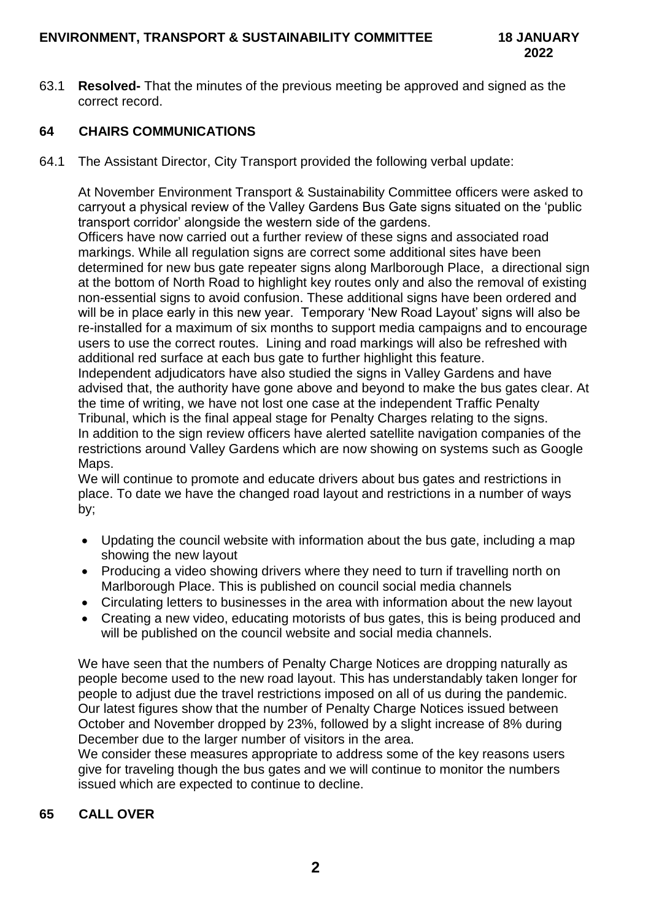63.1 **Resolved-** That the minutes of the previous meeting be approved and signed as the correct record.

# **64 CHAIRS COMMUNICATIONS**

64.1 The Assistant Director, City Transport provided the following verbal update:

At November Environment Transport & Sustainability Committee officers were asked to carryout a physical review of the Valley Gardens Bus Gate signs situated on the 'public transport corridor' alongside the western side of the gardens.

Officers have now carried out a further review of these signs and associated road markings. While all regulation signs are correct some additional sites have been determined for new bus gate repeater signs along Marlborough Place, a directional sign at the bottom of North Road to highlight key routes only and also the removal of existing non-essential signs to avoid confusion. These additional signs have been ordered and will be in place early in this new year. Temporary 'New Road Layout' signs will also be re-installed for a maximum of six months to support media campaigns and to encourage users to use the correct routes. Lining and road markings will also be refreshed with additional red surface at each bus gate to further highlight this feature.

Independent adjudicators have also studied the signs in Valley Gardens and have advised that, the authority have gone above and beyond to make the bus gates clear. At the time of writing, we have not lost one case at the independent Traffic Penalty Tribunal, which is the final appeal stage for Penalty Charges relating to the signs. In addition to the sign review officers have alerted satellite navigation companies of the restrictions around Valley Gardens which are now showing on systems such as Google Maps.

We will continue to promote and educate drivers about bus gates and restrictions in place. To date we have the changed road layout and restrictions in a number of ways by;

- Updating the council website with information about the bus gate, including a map showing the new layout
- Producing a video showing drivers where they need to turn if travelling north on Marlborough Place. This is published on council social media channels
- Circulating letters to businesses in the area with information about the new layout
- Creating a new video, educating motorists of bus gates, this is being produced and will be published on the council website and social media channels.

We have seen that the numbers of Penalty Charge Notices are dropping naturally as people become used to the new road layout. This has understandably taken longer for people to adjust due the travel restrictions imposed on all of us during the pandemic. Our latest figures show that the number of Penalty Charge Notices issued between October and November dropped by 23%, followed by a slight increase of 8% during December due to the larger number of visitors in the area.

We consider these measures appropriate to address some of the key reasons users give for traveling though the bus gates and we will continue to monitor the numbers issued which are expected to continue to decline.

# **65 CALL OVER**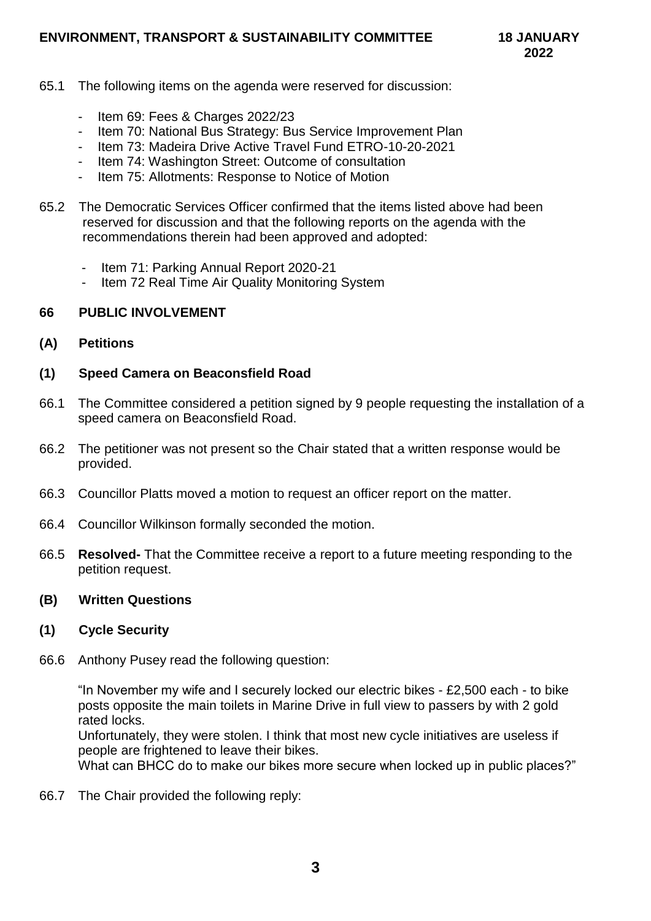## **ENVIRONMENT, TRANSPORT & SUSTAINABILITY COMMITTEE 18 JANUARY**

- 65.1 The following items on the agenda were reserved for discussion:
	- Item 69: Fees & Charges 2022/23
	- Item 70: National Bus Strategy: Bus Service Improvement Plan
	- Item 73: Madeira Drive Active Travel Fund ETRO-10-20-2021
	- Item 74: Washington Street: Outcome of consultation
	- Item 75: Allotments: Response to Notice of Motion
- 65.2 The Democratic Services Officer confirmed that the items listed above had been reserved for discussion and that the following reports on the agenda with the recommendations therein had been approved and adopted:
	- Item 71: Parking Annual Report 2020-21
	- Item 72 Real Time Air Quality Monitoring System

#### **66 PUBLIC INVOLVEMENT**

**(A) Petitions**

#### **(1) Speed Camera on Beaconsfield Road**

- 66.1 The Committee considered a petition signed by 9 people requesting the installation of a speed camera on Beaconsfield Road.
- 66.2 The petitioner was not present so the Chair stated that a written response would be provided.
- 66.3 Councillor Platts moved a motion to request an officer report on the matter.
- 66.4 Councillor Wilkinson formally seconded the motion.
- 66.5 **Resolved-** That the Committee receive a report to a future meeting responding to the petition request.

#### **(B) Written Questions**

#### **(1) Cycle Security**

66.6 Anthony Pusey read the following question:

"In November my wife and I securely locked our electric bikes - £2,500 each - to bike posts opposite the main toilets in Marine Drive in full view to passers by with 2 gold rated locks.

Unfortunately, they were stolen. I think that most new cycle initiatives are useless if people are frightened to leave their bikes.

What can BHCC do to make our bikes more secure when locked up in public places?"

66.7 The Chair provided the following reply: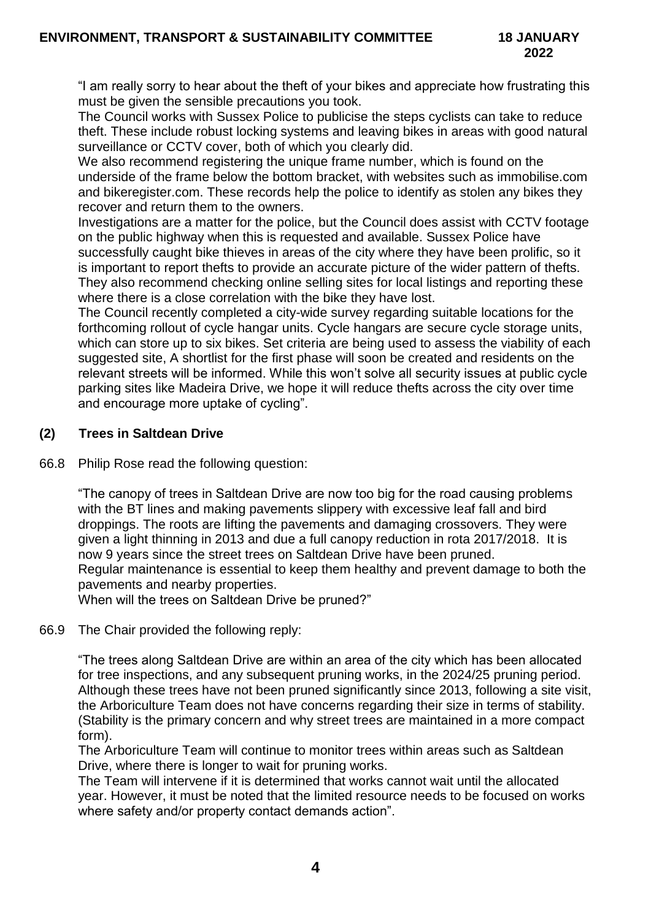"I am really sorry to hear about the theft of your bikes and appreciate how frustrating this must be given the sensible precautions you took.

The Council works with Sussex Police to publicise the steps cyclists can take to reduce theft. These include robust locking systems and leaving bikes in areas with good natural surveillance or CCTV cover, both of which you clearly did.

We also recommend registering the unique frame number, which is found on the underside of the frame below the bottom bracket, with websites such as immobilise.com and bikeregister.com. These records help the police to identify as stolen any bikes they recover and return them to the owners.

Investigations are a matter for the police, but the Council does assist with CCTV footage on the public highway when this is requested and available. Sussex Police have successfully caught bike thieves in areas of the city where they have been prolific, so it is important to report thefts to provide an accurate picture of the wider pattern of thefts. They also recommend checking online selling sites for local listings and reporting these where there is a close correlation with the bike they have lost.

The Council recently completed a city-wide survey regarding suitable locations for the forthcoming rollout of cycle hangar units. Cycle hangars are secure cycle storage units, which can store up to six bikes. Set criteria are being used to assess the viability of each suggested site, A shortlist for the first phase will soon be created and residents on the relevant streets will be informed. While this won't solve all security issues at public cycle parking sites like Madeira Drive, we hope it will reduce thefts across the city over time and encourage more uptake of cycling".

## **(2) Trees in Saltdean Drive**

66.8 Philip Rose read the following question:

"The canopy of trees in Saltdean Drive are now too big for the road causing problems with the BT lines and making pavements slippery with excessive leaf fall and bird droppings. The roots are lifting the pavements and damaging crossovers. They were given a light thinning in 2013 and due a full canopy reduction in rota 2017/2018. It is now 9 years since the street trees on Saltdean Drive have been pruned. Regular maintenance is essential to keep them healthy and prevent damage to both the pavements and nearby properties.

When will the trees on Saltdean Drive be pruned?"

66.9 The Chair provided the following reply:

"The trees along Saltdean Drive are within an area of the city which has been allocated for tree inspections, and any subsequent pruning works, in the 2024/25 pruning period. Although these trees have not been pruned significantly since 2013, following a site visit, the Arboriculture Team does not have concerns regarding their size in terms of stability. (Stability is the primary concern and why street trees are maintained in a more compact form).

The Arboriculture Team will continue to monitor trees within areas such as Saltdean Drive, where there is longer to wait for pruning works.

The Team will intervene if it is determined that works cannot wait until the allocated year. However, it must be noted that the limited resource needs to be focused on works where safety and/or property contact demands action".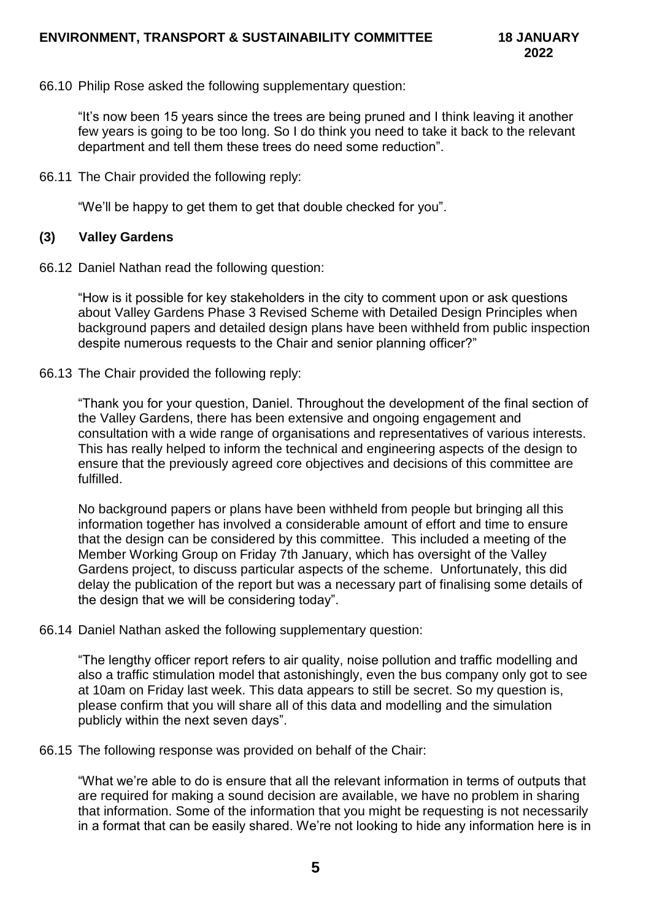66.10 Philip Rose asked the following supplementary question:

"It's now been 15 years since the trees are being pruned and I think leaving it another few years is going to be too long. So I do think you need to take it back to the relevant department and tell them these trees do need some reduction".

66.11 The Chair provided the following reply:

"We'll be happy to get them to get that double checked for you".

#### **(3) Valley Gardens**

66.12 Daniel Nathan read the following question:

"How is it possible for key stakeholders in the city to comment upon or ask questions about Valley Gardens Phase 3 Revised Scheme with Detailed Design Principles when background papers and detailed design plans have been withheld from public inspection despite numerous requests to the Chair and senior planning officer?"

66.13 The Chair provided the following reply:

"Thank you for your question, Daniel. Throughout the development of the final section of the Valley Gardens, there has been extensive and ongoing engagement and consultation with a wide range of organisations and representatives of various interests. This has really helped to inform the technical and engineering aspects of the design to ensure that the previously agreed core objectives and decisions of this committee are fulfilled.

No background papers or plans have been withheld from people but bringing all this information together has involved a considerable amount of effort and time to ensure that the design can be considered by this committee. This included a meeting of the Member Working Group on Friday 7th January, which has oversight of the Valley Gardens project, to discuss particular aspects of the scheme. Unfortunately, this did delay the publication of the report but was a necessary part of finalising some details of the design that we will be considering today".

66.14 Daniel Nathan asked the following supplementary question:

"The lengthy officer report refers to air quality, noise pollution and traffic modelling and also a traffic stimulation model that astonishingly, even the bus company only got to see at 10am on Friday last week. This data appears to still be secret. So my question is, please confirm that you will share all of this data and modelling and the simulation publicly within the next seven days".

66.15 The following response was provided on behalf of the Chair:

"What we're able to do is ensure that all the relevant information in terms of outputs that are required for making a sound decision are available, we have no problem in sharing that information. Some of the information that you might be requesting is not necessarily in a format that can be easily shared. We're not looking to hide any information here is in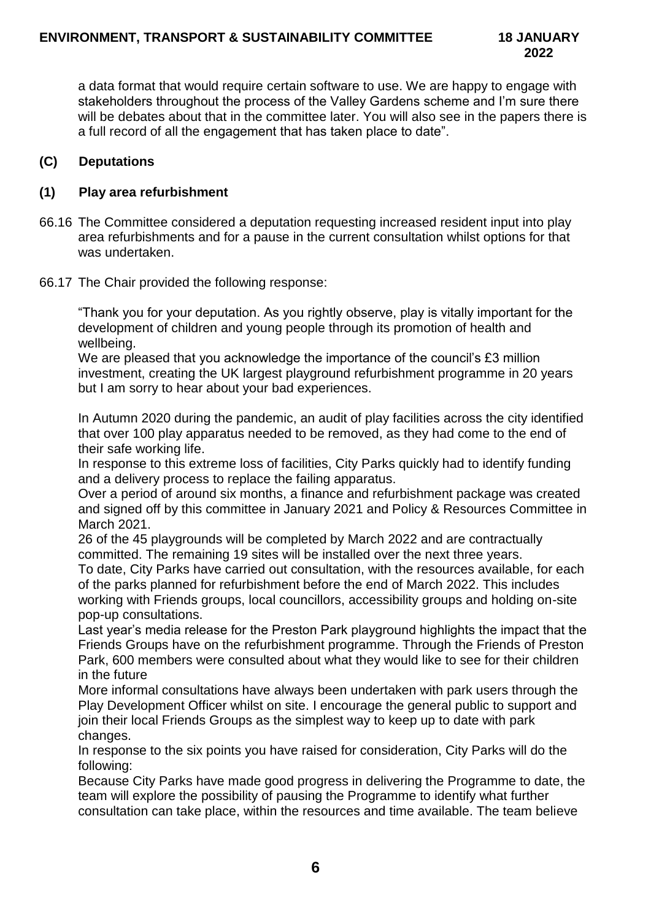a data format that would require certain software to use. We are happy to engage with stakeholders throughout the process of the Valley Gardens scheme and I'm sure there will be debates about that in the committee later. You will also see in the papers there is a full record of all the engagement that has taken place to date".

## **(C) Deputations**

## **(1) Play area refurbishment**

- 66.16 The Committee considered a deputation requesting increased resident input into play area refurbishments and for a pause in the current consultation whilst options for that was undertaken.
- 66.17 The Chair provided the following response:

"Thank you for your deputation. As you rightly observe, play is vitally important for the development of children and young people through its promotion of health and wellbeing.

We are pleased that you acknowledge the importance of the council's £3 million investment, creating the UK largest playground refurbishment programme in 20 years but I am sorry to hear about your bad experiences.

In Autumn 2020 during the pandemic, an audit of play facilities across the city identified that over 100 play apparatus needed to be removed, as they had come to the end of their safe working life.

In response to this extreme loss of facilities, City Parks quickly had to identify funding and a delivery process to replace the failing apparatus.

Over a period of around six months, a finance and refurbishment package was created and signed off by this committee in January 2021 and Policy & Resources Committee in March 2021.

26 of the 45 playgrounds will be completed by March 2022 and are contractually committed. The remaining 19 sites will be installed over the next three years.

To date, City Parks have carried out consultation, with the resources available, for each of the parks planned for refurbishment before the end of March 2022. This includes working with Friends groups, local councillors, accessibility groups and holding on-site pop-up consultations.

Last year's media release for the Preston Park playground highlights the impact that the Friends Groups have on the refurbishment programme. Through the Friends of Preston Park, 600 members were consulted about what they would like to see for their children in the future

More informal consultations have always been undertaken with park users through the Play Development Officer whilst on site. I encourage the general public to support and join their local Friends Groups as the simplest way to keep up to date with park changes.

In response to the six points you have raised for consideration, City Parks will do the following:

Because City Parks have made good progress in delivering the Programme to date, the team will explore the possibility of pausing the Programme to identify what further consultation can take place, within the resources and time available. The team believe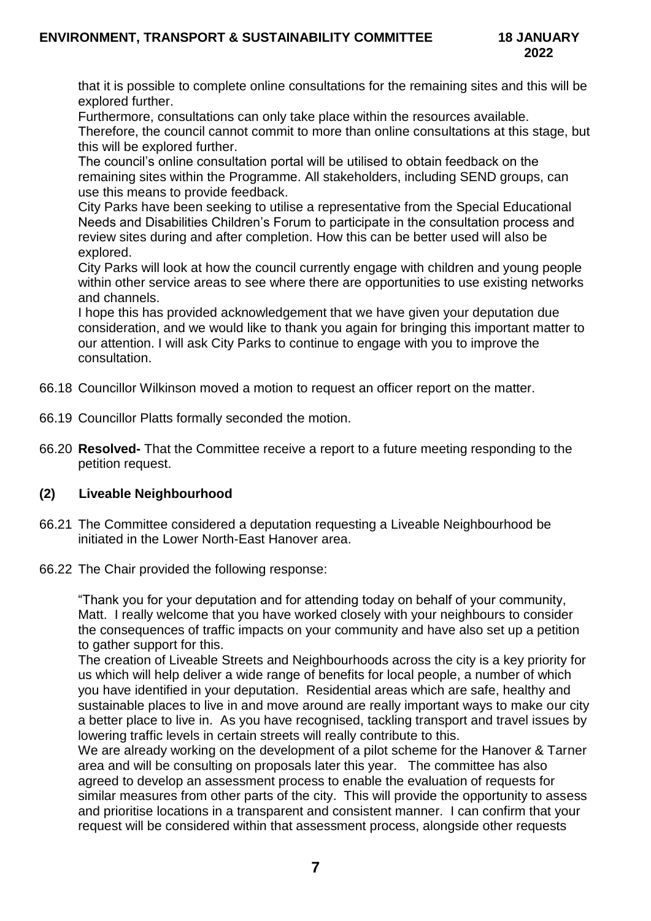that it is possible to complete online consultations for the remaining sites and this will be explored further.

Furthermore, consultations can only take place within the resources available.

Therefore, the council cannot commit to more than online consultations at this stage, but this will be explored further.

The council's online consultation portal will be utilised to obtain feedback on the remaining sites within the Programme. All stakeholders, including SEND groups, can use this means to provide feedback.

City Parks have been seeking to utilise a representative from the Special Educational Needs and Disabilities Children's Forum to participate in the consultation process and review sites during and after completion. How this can be better used will also be explored.

City Parks will look at how the council currently engage with children and young people within other service areas to see where there are opportunities to use existing networks and channels.

I hope this has provided acknowledgement that we have given your deputation due consideration, and we would like to thank you again for bringing this important matter to our attention. I will ask City Parks to continue to engage with you to improve the consultation.

- 66.18 Councillor Wilkinson moved a motion to request an officer report on the matter.
- 66.19 Councillor Platts formally seconded the motion.
- 66.20 **Resolved-** That the Committee receive a report to a future meeting responding to the petition request.

### **(2) Liveable Neighbourhood**

- 66.21 The Committee considered a deputation requesting a Liveable Neighbourhood be initiated in the Lower North-East Hanover area.
- 66.22 The Chair provided the following response:

"Thank you for your deputation and for attending today on behalf of your community, Matt. I really welcome that you have worked closely with your neighbours to consider the consequences of traffic impacts on your community and have also set up a petition to gather support for this.

The creation of Liveable Streets and Neighbourhoods across the city is a key priority for us which will help deliver a wide range of benefits for local people, a number of which you have identified in your deputation. Residential areas which are safe, healthy and sustainable places to live in and move around are really important ways to make our city a better place to live in. As you have recognised, tackling transport and travel issues by lowering traffic levels in certain streets will really contribute to this.

We are already working on the development of a pilot scheme for the Hanover & Tarner area and will be consulting on proposals later this year. The committee has also agreed to develop an assessment process to enable the evaluation of requests for similar measures from other parts of the city. This will provide the opportunity to assess and prioritise locations in a transparent and consistent manner. I can confirm that your request will be considered within that assessment process, alongside other requests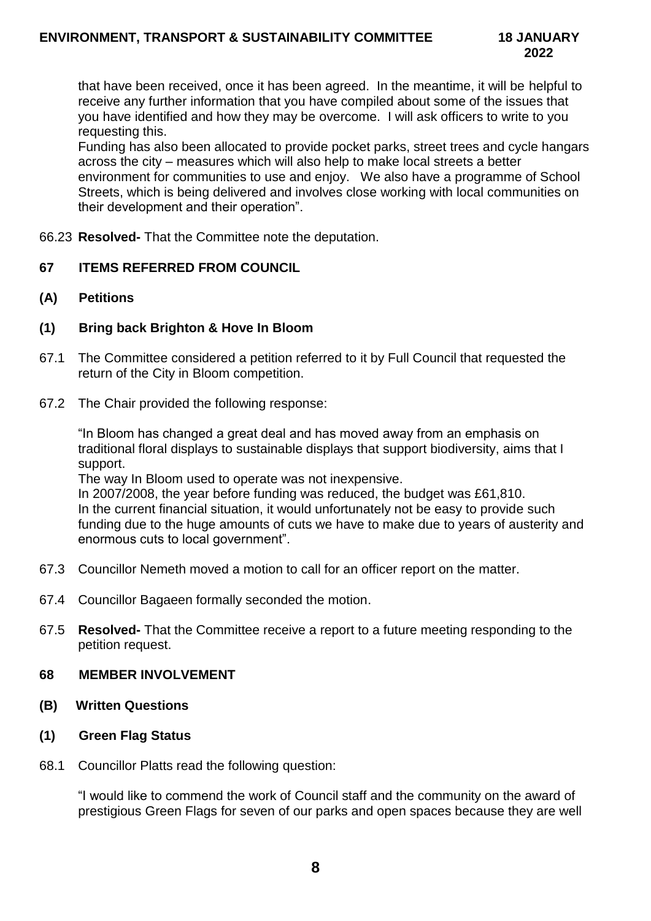that have been received, once it has been agreed. In the meantime, it will be helpful to receive any further information that you have compiled about some of the issues that you have identified and how they may be overcome. I will ask officers to write to you requesting this.

Funding has also been allocated to provide pocket parks, street trees and cycle hangars across the city – measures which will also help to make local streets a better environment for communities to use and enjoy. We also have a programme of School Streets, which is being delivered and involves close working with local communities on their development and their operation".

66.23 **Resolved-** That the Committee note the deputation.

### **67 ITEMS REFERRED FROM COUNCIL**

**(A) Petitions**

#### **(1) Bring back Brighton & Hove In Bloom**

- 67.1 The Committee considered a petition referred to it by Full Council that requested the return of the City in Bloom competition.
- 67.2 The Chair provided the following response:

"In Bloom has changed a great deal and has moved away from an emphasis on traditional floral displays to sustainable displays that support biodiversity, aims that I support.

The way In Bloom used to operate was not inexpensive.

In 2007/2008, the year before funding was reduced, the budget was £61,810. In the current financial situation, it would unfortunately not be easy to provide such funding due to the huge amounts of cuts we have to make due to years of austerity and enormous cuts to local government".

- 67.3 Councillor Nemeth moved a motion to call for an officer report on the matter.
- 67.4 Councillor Bagaeen formally seconded the motion.
- 67.5 **Resolved-** That the Committee receive a report to a future meeting responding to the petition request.

#### **68 MEMBER INVOLVEMENT**

**(B) Written Questions**

### **(1) Green Flag Status**

68.1 Councillor Platts read the following question:

"I would like to commend the work of Council staff and the community on the award of prestigious Green Flags for seven of our parks and open spaces because they are well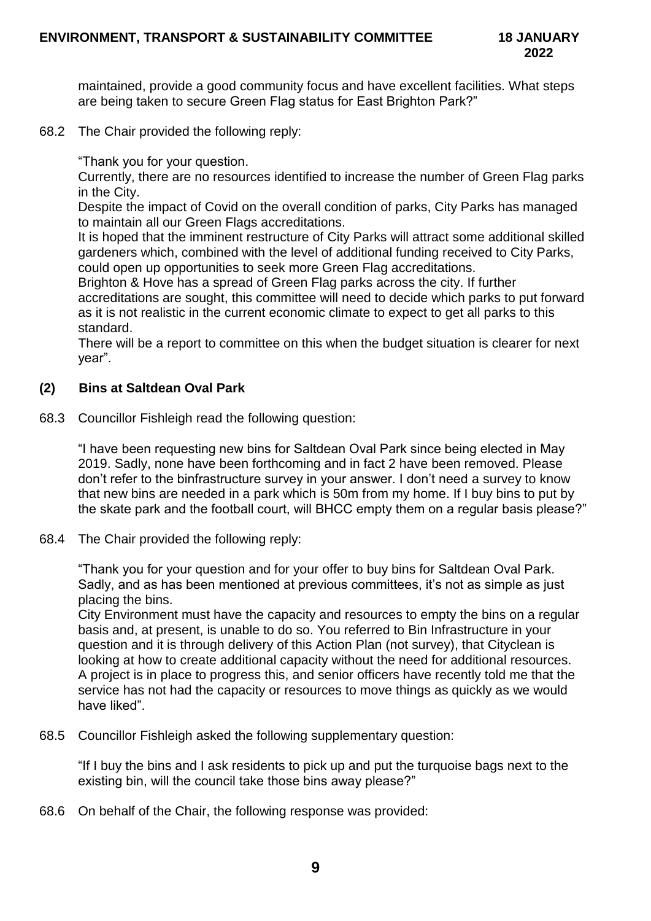maintained, provide a good community focus and have excellent facilities. What steps are being taken to secure Green Flag status for East Brighton Park?"

68.2 The Chair provided the following reply:

"Thank you for your question.

Currently, there are no resources identified to increase the number of Green Flag parks in the City.

Despite the impact of Covid on the overall condition of parks, City Parks has managed to maintain all our Green Flags accreditations.

It is hoped that the imminent restructure of City Parks will attract some additional skilled gardeners which, combined with the level of additional funding received to City Parks, could open up opportunities to seek more Green Flag accreditations.

Brighton & Hove has a spread of Green Flag parks across the city. If further accreditations are sought, this committee will need to decide which parks to put forward as it is not realistic in the current economic climate to expect to get all parks to this standard.

There will be a report to committee on this when the budget situation is clearer for next year".

## **(2) Bins at Saltdean Oval Park**

68.3 Councillor Fishleigh read the following question:

"I have been requesting new bins for Saltdean Oval Park since being elected in May 2019. Sadly, none have been forthcoming and in fact 2 have been removed. Please don't refer to the binfrastructure survey in your answer. I don't need a survey to know that new bins are needed in a park which is 50m from my home. If I buy bins to put by the skate park and the football court, will BHCC empty them on a regular basis please?"

68.4 The Chair provided the following reply:

"Thank you for your question and for your offer to buy bins for Saltdean Oval Park. Sadly, and as has been mentioned at previous committees, it's not as simple as just placing the bins.

City Environment must have the capacity and resources to empty the bins on a regular basis and, at present, is unable to do so. You referred to Bin Infrastructure in your question and it is through delivery of this Action Plan (not survey), that Cityclean is looking at how to create additional capacity without the need for additional resources. A project is in place to progress this, and senior officers have recently told me that the service has not had the capacity or resources to move things as quickly as we would have liked".

68.5 Councillor Fishleigh asked the following supplementary question:

"If I buy the bins and I ask residents to pick up and put the turquoise bags next to the existing bin, will the council take those bins away please?"

68.6 On behalf of the Chair, the following response was provided: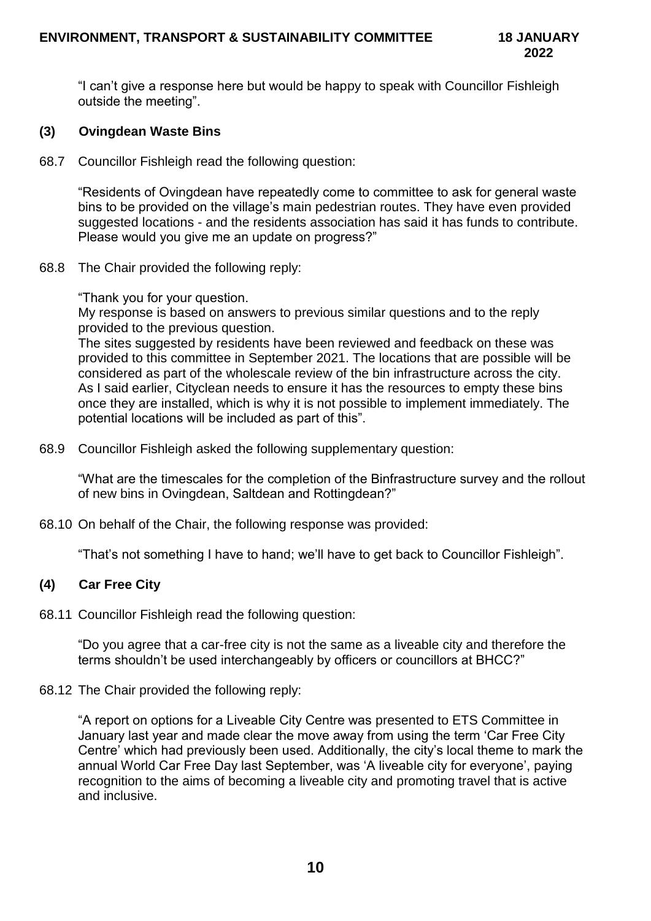"I can't give a response here but would be happy to speak with Councillor Fishleigh outside the meeting".

## **(3) Ovingdean Waste Bins**

68.7 Councillor Fishleigh read the following question:

"Residents of Ovingdean have repeatedly come to committee to ask for general waste bins to be provided on the village's main pedestrian routes. They have even provided suggested locations - and the residents association has said it has funds to contribute. Please would you give me an update on progress?"

68.8 The Chair provided the following reply:

"Thank you for your question.

My response is based on answers to previous similar questions and to the reply provided to the previous question.

The sites suggested by residents have been reviewed and feedback on these was provided to this committee in September 2021. The locations that are possible will be considered as part of the wholescale review of the bin infrastructure across the city. As I said earlier, Cityclean needs to ensure it has the resources to empty these bins once they are installed, which is why it is not possible to implement immediately. The potential locations will be included as part of this".

68.9 Councillor Fishleigh asked the following supplementary question:

"What are the timescales for the completion of the Binfrastructure survey and the rollout of new bins in Ovingdean, Saltdean and Rottingdean?"

68.10 On behalf of the Chair, the following response was provided:

"That's not something I have to hand; we'll have to get back to Councillor Fishleigh".

### **(4) Car Free City**

68.11 Councillor Fishleigh read the following question:

"Do you agree that a car-free city is not the same as a liveable city and therefore the terms shouldn't be used interchangeably by officers or councillors at BHCC?"

68.12 The Chair provided the following reply:

"A report on options for a Liveable City Centre was presented to ETS Committee in January last year and made clear the move away from using the term 'Car Free City Centre' which had previously been used. Additionally, the city's local theme to mark the annual World Car Free Day last September, was 'A liveable city for everyone', paying recognition to the aims of becoming a liveable city and promoting travel that is active and inclusive.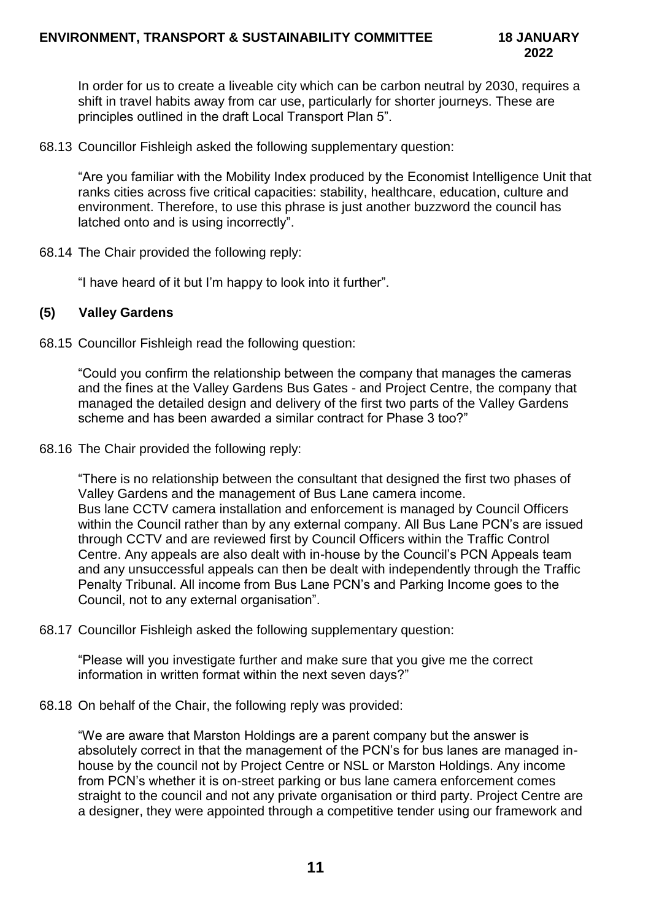In order for us to create a liveable city which can be carbon neutral by 2030, requires a shift in travel habits away from car use, particularly for shorter journeys. These are principles outlined in the draft Local Transport Plan 5".

68.13 Councillor Fishleigh asked the following supplementary question:

"Are you familiar with the Mobility Index produced by the Economist Intelligence Unit that ranks cities across five critical capacities: stability, healthcare, education, culture and environment. Therefore, to use this phrase is just another buzzword the council has latched onto and is using incorrectly".

68.14 The Chair provided the following reply:

"I have heard of it but I'm happy to look into it further".

#### **(5) Valley Gardens**

68.15 Councillor Fishleigh read the following question:

"Could you confirm the relationship between the company that manages the cameras and the fines at the Valley Gardens Bus Gates - and Project Centre, the company that managed the detailed design and delivery of the first two parts of the Valley Gardens scheme and has been awarded a similar contract for Phase 3 too?"

68.16 The Chair provided the following reply:

"There is no relationship between the consultant that designed the first two phases of Valley Gardens and the management of Bus Lane camera income. Bus lane CCTV camera installation and enforcement is managed by Council Officers within the Council rather than by any external company. All Bus Lane PCN's are issued through CCTV and are reviewed first by Council Officers within the Traffic Control Centre. Any appeals are also dealt with in-house by the Council's PCN Appeals team and any unsuccessful appeals can then be dealt with independently through the Traffic Penalty Tribunal. All income from Bus Lane PCN's and Parking Income goes to the Council, not to any external organisation".

68.17 Councillor Fishleigh asked the following supplementary question:

"Please will you investigate further and make sure that you give me the correct information in written format within the next seven days?"

68.18 On behalf of the Chair, the following reply was provided:

"We are aware that Marston Holdings are a parent company but the answer is absolutely correct in that the management of the PCN's for bus lanes are managed inhouse by the council not by Project Centre or NSL or Marston Holdings. Any income from PCN's whether it is on-street parking or bus lane camera enforcement comes straight to the council and not any private organisation or third party. Project Centre are a designer, they were appointed through a competitive tender using our framework and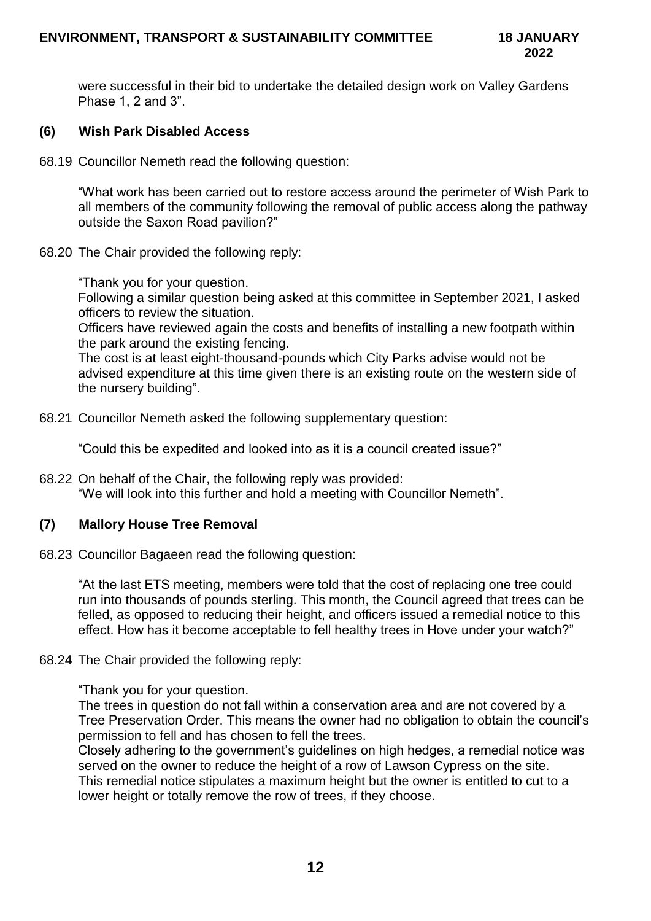were successful in their bid to undertake the detailed design work on Valley Gardens Phase 1, 2 and 3".

## **(6) Wish Park Disabled Access**

68.19 Councillor Nemeth read the following question:

"What work has been carried out to restore access around the perimeter of Wish Park to all members of the community following the removal of public access along the pathway outside the Saxon Road pavilion?"

68.20 The Chair provided the following reply:

"Thank you for your question.

Following a similar question being asked at this committee in September 2021, I asked officers to review the situation.

Officers have reviewed again the costs and benefits of installing a new footpath within the park around the existing fencing.

The cost is at least eight-thousand-pounds which City Parks advise would not be advised expenditure at this time given there is an existing route on the western side of the nursery building".

68.21 Councillor Nemeth asked the following supplementary question:

"Could this be expedited and looked into as it is a council created issue?"

68.22 On behalf of the Chair, the following reply was provided: "We will look into this further and hold a meeting with Councillor Nemeth".

### **(7) Mallory House Tree Removal**

68.23 Councillor Bagaeen read the following question:

"At the last ETS meeting, members were told that the cost of replacing one tree could run into thousands of pounds sterling. This month, the Council agreed that trees can be felled, as opposed to reducing their height, and officers issued a remedial notice to this effect. How has it become acceptable to fell healthy trees in Hove under your watch?"

### 68.24 The Chair provided the following reply:

"Thank you for your question.

The trees in question do not fall within a conservation area and are not covered by a Tree Preservation Order. This means the owner had no obligation to obtain the council's permission to fell and has chosen to fell the trees.

Closely adhering to the government's guidelines on high hedges, a remedial notice was served on the owner to reduce the height of a row of Lawson Cypress on the site. This remedial notice stipulates a maximum height but the owner is entitled to cut to a lower height or totally remove the row of trees, if they choose.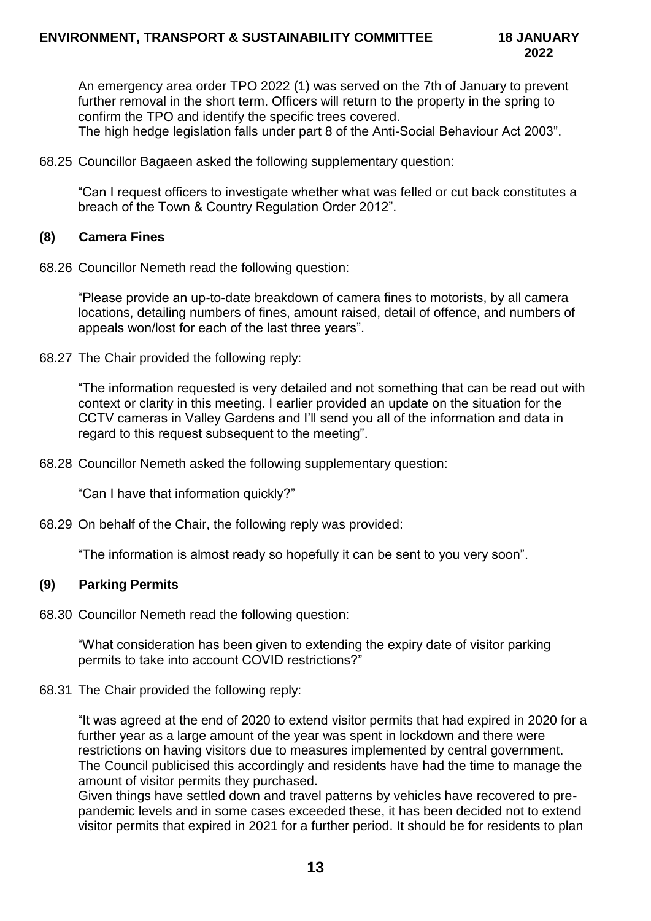An emergency area order TPO 2022 (1) was served on the 7th of January to prevent further removal in the short term. Officers will return to the property in the spring to confirm the TPO and identify the specific trees covered.

The high hedge legislation falls under part 8 of the Anti-Social Behaviour Act 2003".

68.25 Councillor Bagaeen asked the following supplementary question:

"Can I request officers to investigate whether what was felled or cut back constitutes a breach of the Town & Country Regulation Order 2012".

#### **(8) Camera Fines**

68.26 Councillor Nemeth read the following question:

"Please provide an up-to-date breakdown of camera fines to motorists, by all camera locations, detailing numbers of fines, amount raised, detail of offence, and numbers of appeals won/lost for each of the last three years".

68.27 The Chair provided the following reply:

"The information requested is very detailed and not something that can be read out with context or clarity in this meeting. I earlier provided an update on the situation for the CCTV cameras in Valley Gardens and I'll send you all of the information and data in regard to this request subsequent to the meeting".

68.28 Councillor Nemeth asked the following supplementary question:

"Can I have that information quickly?"

68.29 On behalf of the Chair, the following reply was provided:

"The information is almost ready so hopefully it can be sent to you very soon".

### **(9) Parking Permits**

68.30 Councillor Nemeth read the following question:

"What consideration has been given to extending the expiry date of visitor parking permits to take into account COVID restrictions?"

#### 68.31 The Chair provided the following reply:

"It was agreed at the end of 2020 to extend visitor permits that had expired in 2020 for a further year as a large amount of the year was spent in lockdown and there were restrictions on having visitors due to measures implemented by central government. The Council publicised this accordingly and residents have had the time to manage the amount of visitor permits they purchased.

Given things have settled down and travel patterns by vehicles have recovered to prepandemic levels and in some cases exceeded these, it has been decided not to extend visitor permits that expired in 2021 for a further period. It should be for residents to plan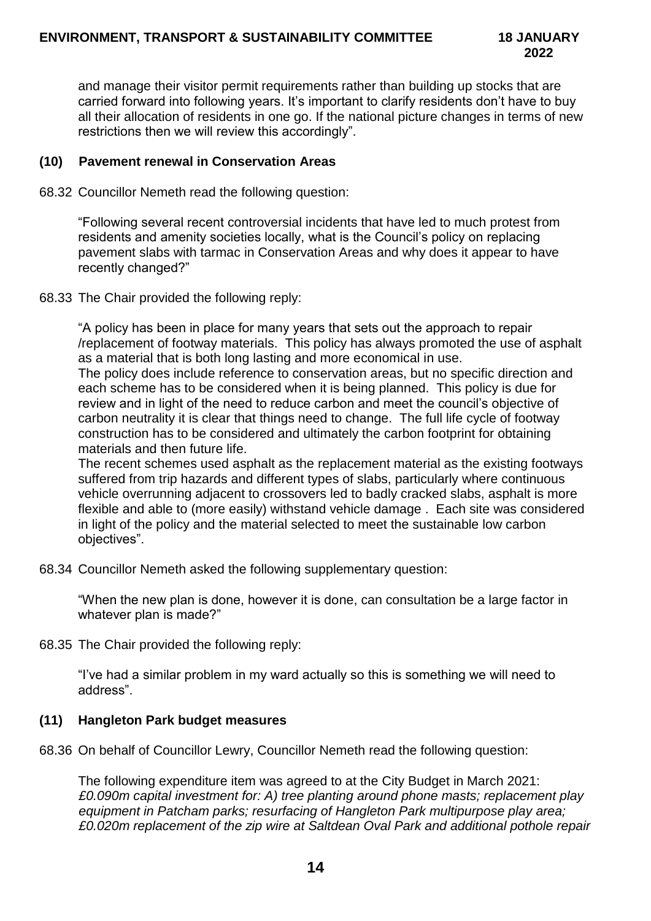and manage their visitor permit requirements rather than building up stocks that are carried forward into following years. It's important to clarify residents don't have to buy all their allocation of residents in one go. If the national picture changes in terms of new restrictions then we will review this accordingly".

## **(10) Pavement renewal in Conservation Areas**

68.32 Councillor Nemeth read the following question:

"Following several recent controversial incidents that have led to much protest from residents and amenity societies locally, what is the Council's policy on replacing pavement slabs with tarmac in Conservation Areas and why does it appear to have recently changed?"

68.33 The Chair provided the following reply:

"A policy has been in place for many years that sets out the approach to repair /replacement of footway materials. This policy has always promoted the use of asphalt as a material that is both long lasting and more economical in use.

The policy does include reference to conservation areas, but no specific direction and each scheme has to be considered when it is being planned. This policy is due for review and in light of the need to reduce carbon and meet the council's objective of carbon neutrality it is clear that things need to change. The full life cycle of footway construction has to be considered and ultimately the carbon footprint for obtaining materials and then future life.

The recent schemes used asphalt as the replacement material as the existing footways suffered from trip hazards and different types of slabs, particularly where continuous vehicle overrunning adjacent to crossovers led to badly cracked slabs, asphalt is more flexible and able to (more easily) withstand vehicle damage . Each site was considered in light of the policy and the material selected to meet the sustainable low carbon objectives".

68.34 Councillor Nemeth asked the following supplementary question:

"When the new plan is done, however it is done, can consultation be a large factor in whatever plan is made?"

68.35 The Chair provided the following reply:

"I've had a similar problem in my ward actually so this is something we will need to address".

# **(11) Hangleton Park budget measures**

68.36 On behalf of Councillor Lewry, Councillor Nemeth read the following question:

The following expenditure item was agreed to at the City Budget in March 2021: *£0.090m capital investment for: A) tree planting around phone masts; replacement play equipment in Patcham parks; resurfacing of Hangleton Park multipurpose play area; £0.020m replacement of the zip wire at Saltdean Oval Park and additional pothole repair*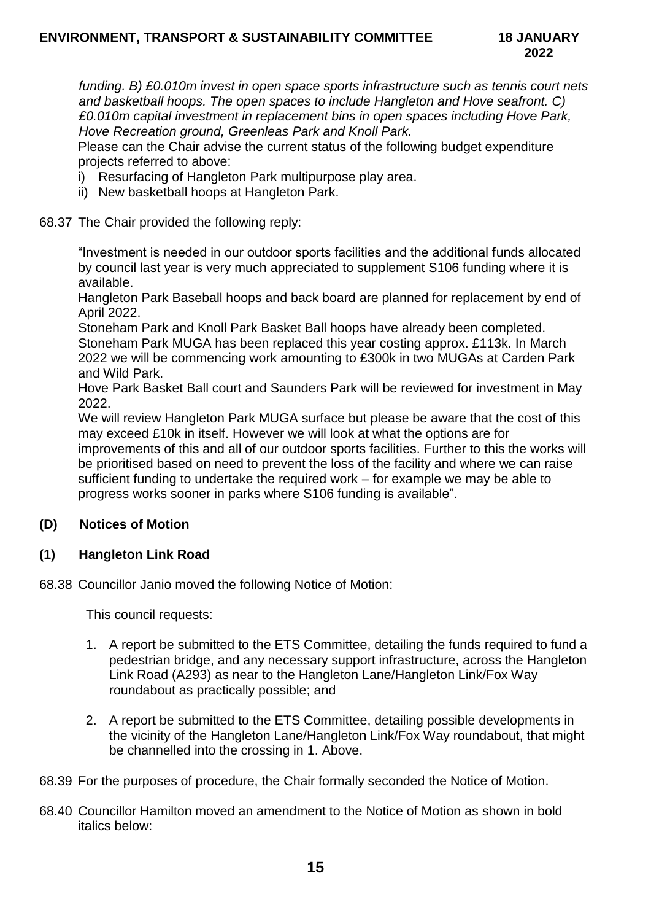*funding. B) £0.010m invest in open space sports infrastructure such as tennis court nets and basketball hoops. The open spaces to include Hangleton and Hove seafront. C) £0.010m capital investment in replacement bins in open spaces including Hove Park, Hove Recreation ground, Greenleas Park and Knoll Park.*

Please can the Chair advise the current status of the following budget expenditure projects referred to above:

- i) Resurfacing of Hangleton Park multipurpose play area.
- ii) New basketball hoops at Hangleton Park.

#### 68.37 The Chair provided the following reply:

"Investment is needed in our outdoor sports facilities and the additional funds allocated by council last year is very much appreciated to supplement S106 funding where it is available.

Hangleton Park Baseball hoops and back board are planned for replacement by end of April 2022.

Stoneham Park and Knoll Park Basket Ball hoops have already been completed. Stoneham Park MUGA has been replaced this year costing approx. £113k. In March 2022 we will be commencing work amounting to £300k in two MUGAs at Carden Park and Wild Park.

Hove Park Basket Ball court and Saunders Park will be reviewed for investment in May 2022.

We will review Hangleton Park MUGA surface but please be aware that the cost of this may exceed £10k in itself. However we will look at what the options are for improvements of this and all of our outdoor sports facilities. Further to this the works will be prioritised based on need to prevent the loss of the facility and where we can raise sufficient funding to undertake the required work – for example we may be able to progress works sooner in parks where S106 funding is available".

### **(D) Notices of Motion**

### **(1) Hangleton Link Road**

68.38 Councillor Janio moved the following Notice of Motion:

This council requests:

- 1. A report be submitted to the ETS Committee, detailing the funds required to fund a pedestrian bridge, and any necessary support infrastructure, across the Hangleton Link Road (A293) as near to the Hangleton Lane/Hangleton Link/Fox Way roundabout as practically possible; and
- 2. A report be submitted to the ETS Committee, detailing possible developments in the vicinity of the Hangleton Lane/Hangleton Link/Fox Way roundabout, that might be channelled into the crossing in 1. Above.
- 68.39 For the purposes of procedure, the Chair formally seconded the Notice of Motion.
- 68.40 Councillor Hamilton moved an amendment to the Notice of Motion as shown in bold italics below: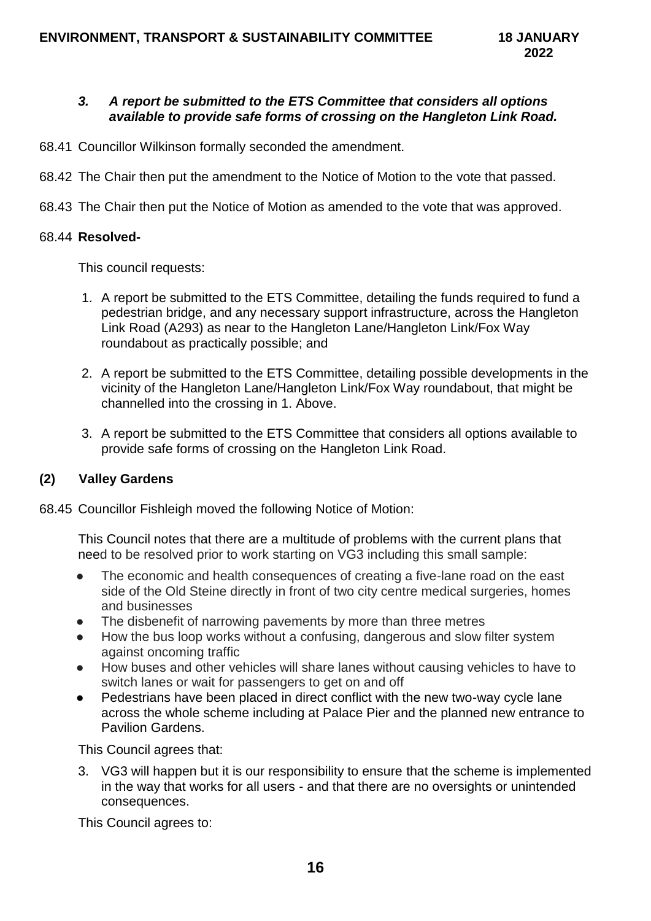## *3. A report be submitted to the ETS Committee that considers all options available to provide safe forms of crossing on the Hangleton Link Road.*

- 68.41 Councillor Wilkinson formally seconded the amendment.
- 68.42 The Chair then put the amendment to the Notice of Motion to the vote that passed.
- 68.43 The Chair then put the Notice of Motion as amended to the vote that was approved.

### 68.44 **Resolved-**

This council requests:

- 1. A report be submitted to the ETS Committee, detailing the funds required to fund a pedestrian bridge, and any necessary support infrastructure, across the Hangleton Link Road (A293) as near to the Hangleton Lane/Hangleton Link/Fox Way roundabout as practically possible; and
- 2. A report be submitted to the ETS Committee, detailing possible developments in the vicinity of the Hangleton Lane/Hangleton Link/Fox Way roundabout, that might be channelled into the crossing in 1. Above.
- 3. A report be submitted to the ETS Committee that considers all options available to provide safe forms of crossing on the Hangleton Link Road.

### **(2) Valley Gardens**

68.45 Councillor Fishleigh moved the following Notice of Motion:

This Council notes that there are a multitude of problems with the current plans that need to be resolved prior to work starting on VG3 including this small sample:

- The economic and health consequences of creating a five-lane road on the east side of the Old Steine directly in front of two city centre medical surgeries, homes and businesses
- The disbenefit of narrowing pavements by more than three metres
- How the bus loop works without a confusing, dangerous and slow filter system against oncoming traffic
- How buses and other vehicles will share lanes without causing vehicles to have to switch lanes or wait for passengers to get on and off
- Pedestrians have been placed in direct conflict with the new two-way cycle lane across the whole scheme including at Palace Pier and the planned new entrance to Pavilion Gardens.

This Council agrees that:

3. VG3 will happen but it is our responsibility to ensure that the scheme is implemented in the way that works for all users - and that there are no oversights or unintended consequences.

This Council agrees to: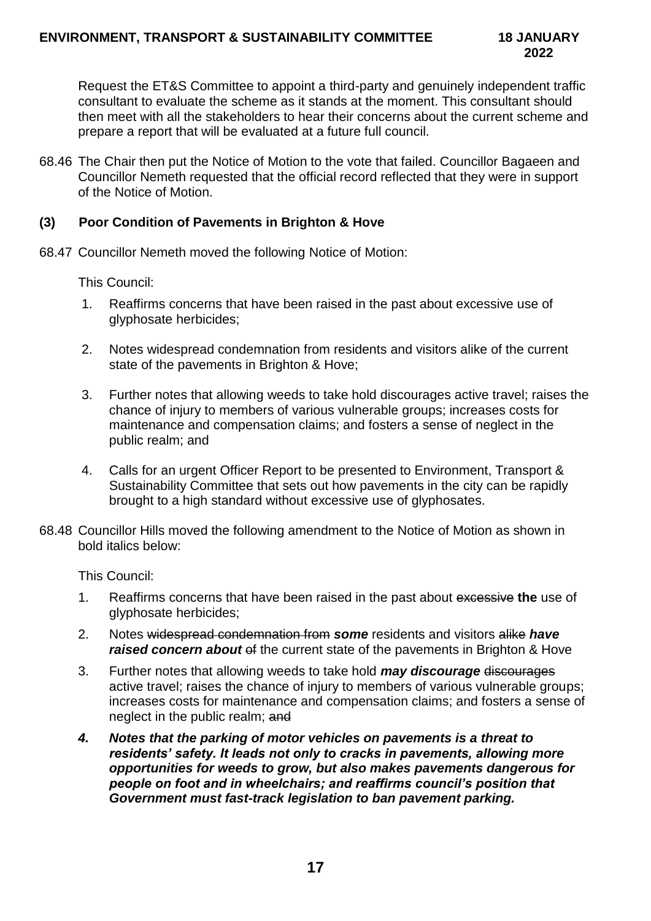Request the ET&S Committee to appoint a third-party and genuinely independent traffic consultant to evaluate the scheme as it stands at the moment. This consultant should then meet with all the stakeholders to hear their concerns about the current scheme and prepare a report that will be evaluated at a future full council.

68.46 The Chair then put the Notice of Motion to the vote that failed. Councillor Bagaeen and Councillor Nemeth requested that the official record reflected that they were in support of the Notice of Motion.

## **(3) Poor Condition of Pavements in Brighton & Hove**

68.47 Councillor Nemeth moved the following Notice of Motion:

This Council:

- 1. Reaffirms concerns that have been raised in the past about excessive use of glyphosate herbicides;
- 2. Notes widespread condemnation from residents and visitors alike of the current state of the pavements in Brighton & Hove;
- 3. Further notes that allowing weeds to take hold discourages active travel; raises the chance of injury to members of various vulnerable groups; increases costs for maintenance and compensation claims; and fosters a sense of neglect in the public realm; and
- 4. Calls for an urgent Officer Report to be presented to Environment, Transport & Sustainability Committee that sets out how pavements in the city can be rapidly brought to a high standard without excessive use of glyphosates.
- 68.48 Councillor Hills moved the following amendment to the Notice of Motion as shown in bold italics below:

This Council:

- 1. Reaffirms concerns that have been raised in the past about excessive **the** use of glyphosate herbicides;
- 2. Notes widespread condemnation from *some* residents and visitors alike *have*  **raised concern about** of the current state of the pavements in Brighton & Hove
- 3. Further notes that allowing weeds to take hold *may discourage* discourages active travel; raises the chance of injury to members of various vulnerable groups; increases costs for maintenance and compensation claims; and fosters a sense of neglect in the public realm; and
- *4. Notes that the parking of motor vehicles on pavements is a threat to residents' safety. It leads not only to cracks in pavements, allowing more opportunities for weeds to grow, but also makes pavements dangerous for people on foot and in wheelchairs; and reaffirms council's position that Government must fast-track legislation to ban pavement parking.*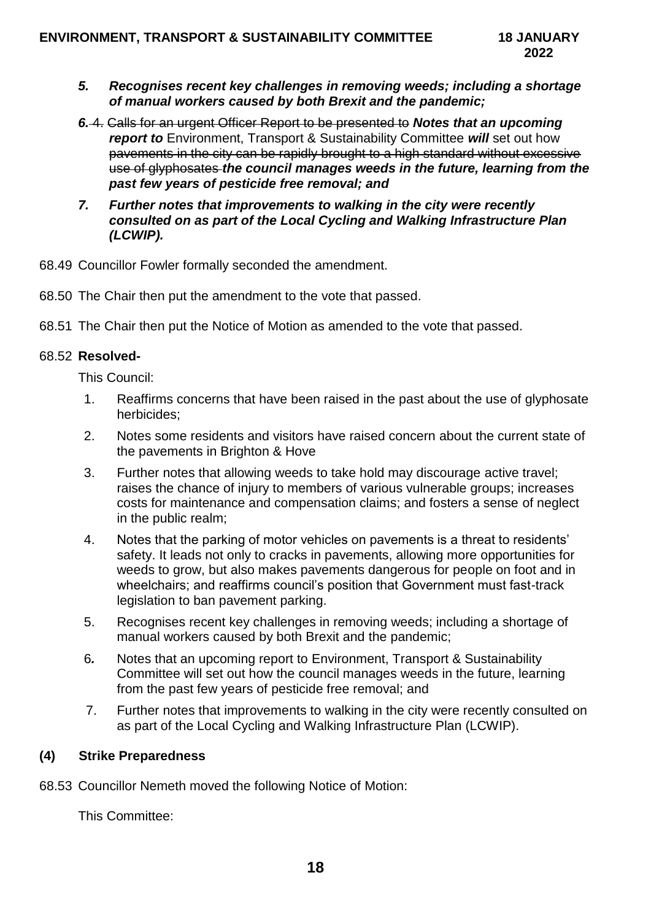- *5. Recognises recent key challenges in removing weeds; including a shortage of manual workers caused by both Brexit and the pandemic;*
- *6.* 4. Calls for an urgent Officer Report to be presented to *Notes that an upcoming report to* Environment, Transport & Sustainability Committee *will* set out how pavements in the city can be rapidly brought to a high standard without excessive use of glyphosates *the council manages weeds in the future, learning from the past few years of pesticide free removal; and*
- *7. Further notes that improvements to walking in the city were recently consulted on as part of the Local Cycling and Walking Infrastructure Plan (LCWIP).*
- 68.49 Councillor Fowler formally seconded the amendment.
- 68.50 The Chair then put the amendment to the vote that passed.
- 68.51 The Chair then put the Notice of Motion as amended to the vote that passed.

#### 68.52 **Resolved-**

This Council:

- 1. Reaffirms concerns that have been raised in the past about the use of glyphosate herbicides;
- 2. Notes some residents and visitors have raised concern about the current state of the pavements in Brighton & Hove
- 3. Further notes that allowing weeds to take hold may discourage active travel; raises the chance of injury to members of various vulnerable groups; increases costs for maintenance and compensation claims; and fosters a sense of neglect in the public realm;
- 4. Notes that the parking of motor vehicles on pavements is a threat to residents' safety. It leads not only to cracks in pavements, allowing more opportunities for weeds to grow, but also makes pavements dangerous for people on foot and in wheelchairs; and reaffirms council's position that Government must fast-track legislation to ban pavement parking.
- 5. Recognises recent key challenges in removing weeds; including a shortage of manual workers caused by both Brexit and the pandemic;
- 6*.* Notes that an upcoming report to Environment, Transport & Sustainability Committee will set out how the council manages weeds in the future, learning from the past few years of pesticide free removal; and
- 7. Further notes that improvements to walking in the city were recently consulted on as part of the Local Cycling and Walking Infrastructure Plan (LCWIP).

### **(4) Strike Preparedness**

68.53 Councillor Nemeth moved the following Notice of Motion:

This Committee: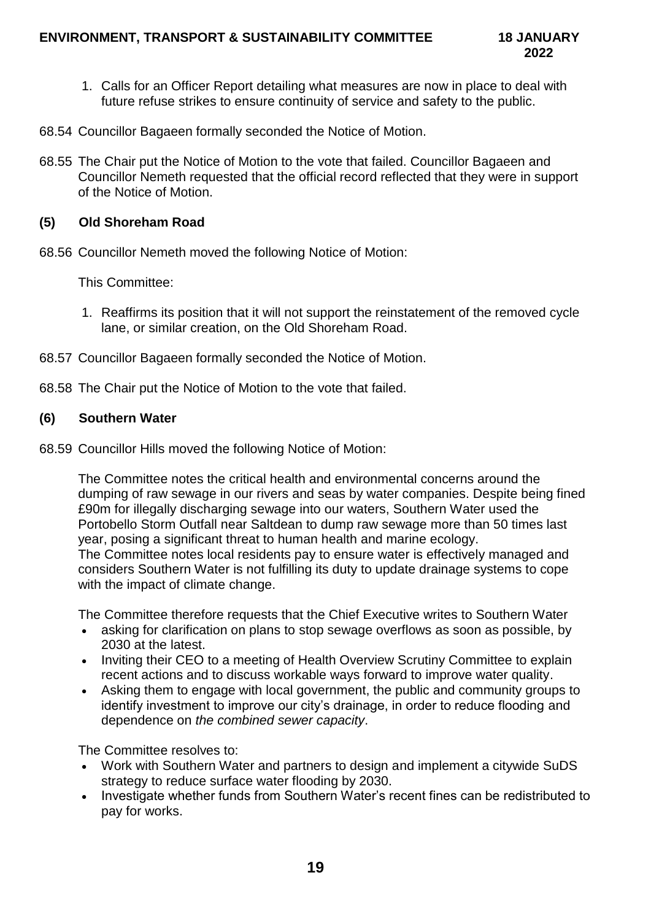- 1. Calls for an Officer Report detailing what measures are now in place to deal with future refuse strikes to ensure continuity of service and safety to the public.
- 68.54 Councillor Bagaeen formally seconded the Notice of Motion.
- 68.55 The Chair put the Notice of Motion to the vote that failed. Councillor Bagaeen and Councillor Nemeth requested that the official record reflected that they were in support of the Notice of Motion.

## **(5) Old Shoreham Road**

68.56 Councillor Nemeth moved the following Notice of Motion:

This Committee:

- 1. Reaffirms its position that it will not support the reinstatement of the removed cycle lane, or similar creation, on the Old Shoreham Road.
- 68.57 Councillor Bagaeen formally seconded the Notice of Motion.
- 68.58 The Chair put the Notice of Motion to the vote that failed.

### **(6) Southern Water**

68.59 Councillor Hills moved the following Notice of Motion:

The Committee notes the critical health and environmental concerns around the dumping of raw sewage in our rivers and seas by water companies. Despite being fined £90m for illegally discharging sewage into our waters, Southern Water used the Portobello Storm Outfall near Saltdean to dump raw sewage more than 50 times last year, posing a significant threat to human health and marine ecology. The Committee notes local residents pay to ensure water is effectively managed and considers Southern Water is not fulfilling its duty to update drainage systems to cope with the impact of climate change.

The Committee therefore requests that the Chief Executive writes to Southern Water

- asking for clarification on plans to stop sewage overflows as soon as possible, by 2030 at the latest.
- Inviting their CEO to a meeting of Health Overview Scrutiny Committee to explain recent actions and to discuss workable ways forward to improve water quality.
- Asking them to engage with local government, the public and community groups to identify investment to improve our city's drainage, in order to reduce flooding and dependence on *the combined sewer capacity*.

The Committee resolves to:

- Work with Southern Water and partners to design and implement a citywide SuDS strategy to reduce surface water flooding by 2030.
- Investigate whether funds from Southern Water's recent fines can be redistributed to pay for works.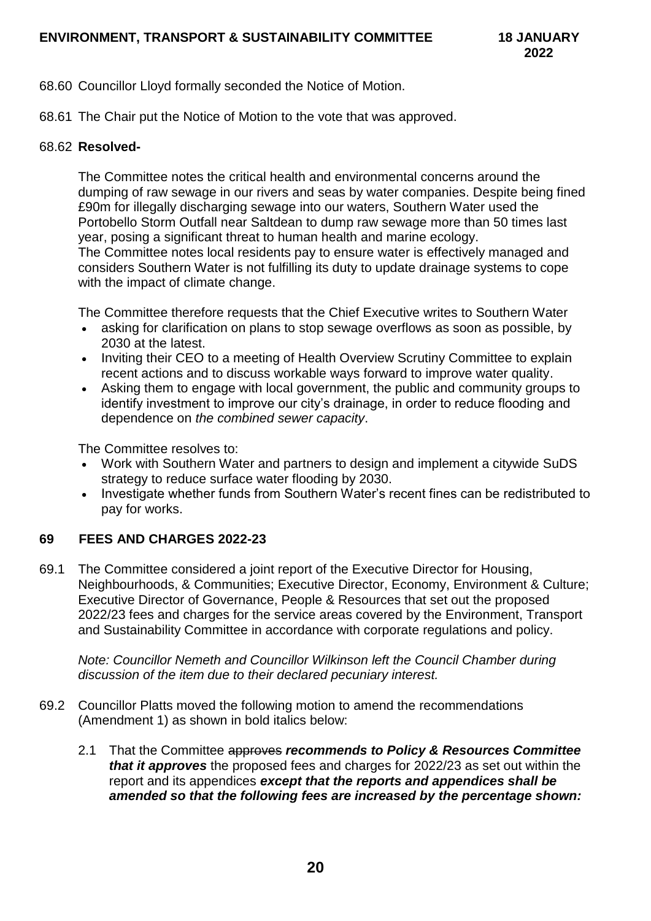- 68.60 Councillor Lloyd formally seconded the Notice of Motion.
- 68.61 The Chair put the Notice of Motion to the vote that was approved.

#### 68.62 **Resolved-**

The Committee notes the critical health and environmental concerns around the dumping of raw sewage in our rivers and seas by water companies. Despite being fined £90m for illegally discharging sewage into our waters, Southern Water used the Portobello Storm Outfall near Saltdean to dump raw sewage more than 50 times last year, posing a significant threat to human health and marine ecology. The Committee notes local residents pay to ensure water is effectively managed and considers Southern Water is not fulfilling its duty to update drainage systems to cope with the impact of climate change.

The Committee therefore requests that the Chief Executive writes to Southern Water

- asking for clarification on plans to stop sewage overflows as soon as possible, by 2030 at the latest.
- Inviting their CEO to a meeting of Health Overview Scrutiny Committee to explain recent actions and to discuss workable ways forward to improve water quality.
- Asking them to engage with local government, the public and community groups to identify investment to improve our city's drainage, in order to reduce flooding and dependence on *the combined sewer capacity*.

The Committee resolves to:

- Work with Southern Water and partners to design and implement a citywide SuDS strategy to reduce surface water flooding by 2030.
- Investigate whether funds from Southern Water's recent fines can be redistributed to pay for works.

# **69 FEES AND CHARGES 2022-23**

69.1 The Committee considered a joint report of the Executive Director for Housing, Neighbourhoods, & Communities; Executive Director, Economy, Environment & Culture; Executive Director of Governance, People & Resources that set out the proposed 2022/23 fees and charges for the service areas covered by the Environment, Transport and Sustainability Committee in accordance with corporate regulations and policy.

*Note: Councillor Nemeth and Councillor Wilkinson left the Council Chamber during discussion of the item due to their declared pecuniary interest.* 

- 69.2 Councillor Platts moved the following motion to amend the recommendations (Amendment 1) as shown in bold italics below:
	- 2.1 That the Committee approves *recommends to Policy & Resources Committee that it approves* the proposed fees and charges for 2022/23 as set out within the report and its appendices *except that the reports and appendices shall be amended so that the following fees are increased by the percentage shown:*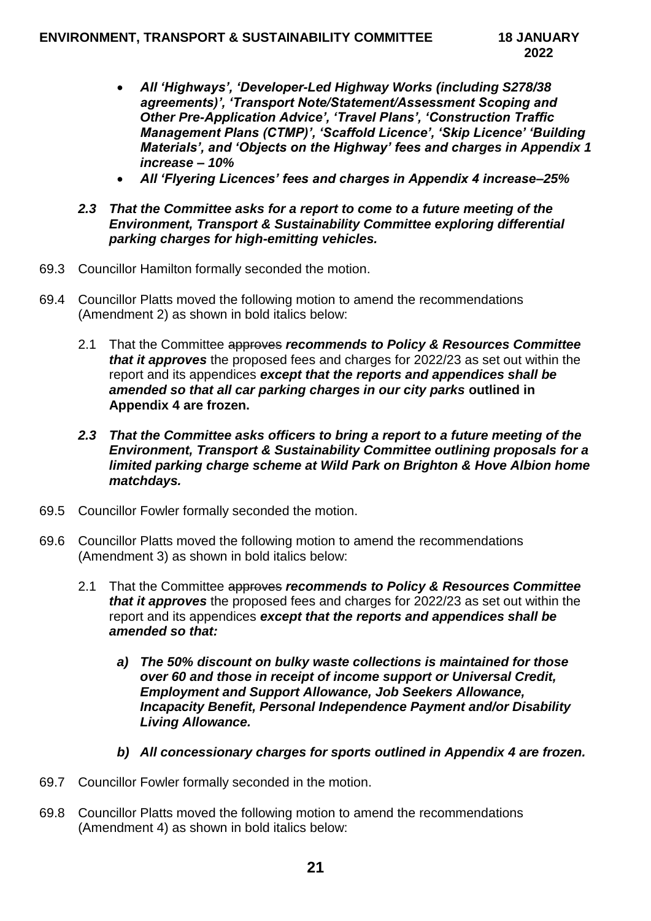- *All 'Highways', 'Developer-Led Highway Works (including S278/38 agreements)', 'Transport Note/Statement/Assessment Scoping and Other Pre-Application Advice', 'Travel Plans', 'Construction Traffic Management Plans (CTMP)', 'Scaffold Licence', 'Skip Licence' 'Building Materials', and 'Objects on the Highway' fees and charges in Appendix 1 increase – 10%*
- *All 'Flyering Licences' fees and charges in Appendix 4 increase–25%*
- *2.3 That the Committee asks for a report to come to a future meeting of the Environment, Transport & Sustainability Committee exploring differential parking charges for high-emitting vehicles.*
- 69.3 Councillor Hamilton formally seconded the motion.
- 69.4 Councillor Platts moved the following motion to amend the recommendations (Amendment 2) as shown in bold italics below:
	- 2.1 That the Committee approves *recommends to Policy & Resources Committee that it approves* the proposed fees and charges for 2022/23 as set out within the report and its appendices *except that the reports and appendices shall be amended so that all car parking charges in our city parks* **outlined in Appendix 4 are frozen.**
	- *2.3 That the Committee asks officers to bring a report to a future meeting of the Environment, Transport & Sustainability Committee outlining proposals for a limited parking charge scheme at Wild Park on Brighton & Hove Albion home matchdays.*
- 69.5 Councillor Fowler formally seconded the motion.
- 69.6 Councillor Platts moved the following motion to amend the recommendations (Amendment 3) as shown in bold italics below:
	- 2.1 That the Committee approves *recommends to Policy & Resources Committee that it approves* the proposed fees and charges for 2022/23 as set out within the report and its appendices *except that the reports and appendices shall be amended so that:*
		- *a) The 50% discount on bulky waste collections is maintained for those over 60 and those in receipt of income support or Universal Credit, Employment and Support Allowance, Job Seekers Allowance, Incapacity Benefit, Personal Independence Payment and/or Disability Living Allowance.*
		- *b) All concessionary charges for sports outlined in Appendix 4 are frozen.*
- 69.7 Councillor Fowler formally seconded in the motion.
- 69.8 Councillor Platts moved the following motion to amend the recommendations (Amendment 4) as shown in bold italics below: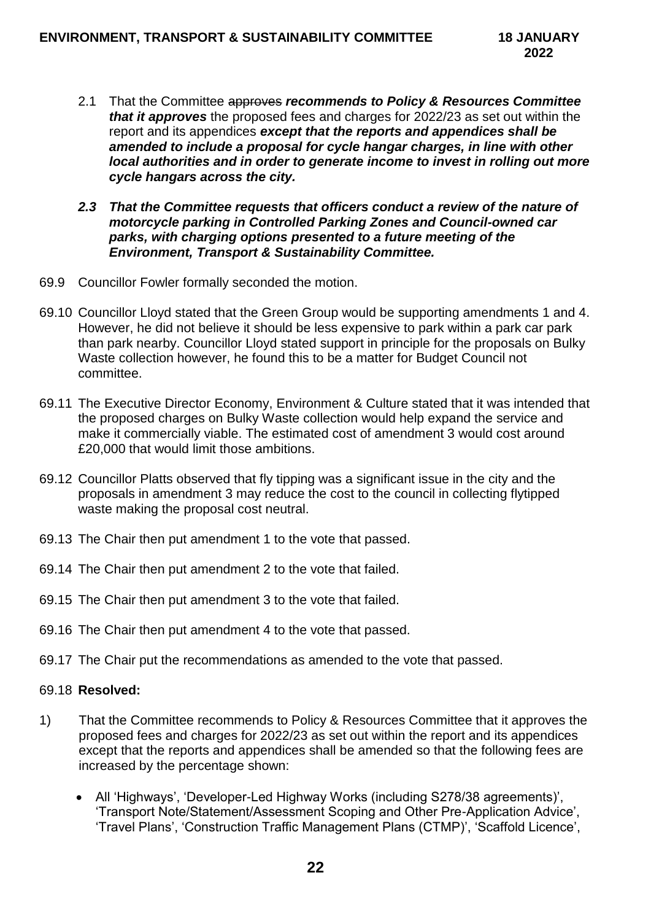- 2.1 That the Committee approves *recommends to Policy & Resources Committee that it approves* the proposed fees and charges for 2022/23 as set out within the report and its appendices *except that the reports and appendices shall be amended to include a proposal for cycle hangar charges, in line with other local authorities and in order to generate income to invest in rolling out more cycle hangars across the city.*
- *2.3 That the Committee requests that officers conduct a review of the nature of motorcycle parking in Controlled Parking Zones and Council-owned car parks, with charging options presented to a future meeting of the Environment, Transport & Sustainability Committee.*
- 69.9 Councillor Fowler formally seconded the motion.
- 69.10 Councillor Lloyd stated that the Green Group would be supporting amendments 1 and 4. However, he did not believe it should be less expensive to park within a park car park than park nearby. Councillor Lloyd stated support in principle for the proposals on Bulky Waste collection however, he found this to be a matter for Budget Council not committee.
- 69.11 The Executive Director Economy, Environment & Culture stated that it was intended that the proposed charges on Bulky Waste collection would help expand the service and make it commercially viable. The estimated cost of amendment 3 would cost around £20,000 that would limit those ambitions.
- 69.12 Councillor Platts observed that fly tipping was a significant issue in the city and the proposals in amendment 3 may reduce the cost to the council in collecting flytipped waste making the proposal cost neutral.
- 69.13 The Chair then put amendment 1 to the vote that passed.
- 69.14 The Chair then put amendment 2 to the vote that failed.
- 69.15 The Chair then put amendment 3 to the vote that failed.
- 69.16 The Chair then put amendment 4 to the vote that passed.
- 69.17 The Chair put the recommendations as amended to the vote that passed.

#### 69.18 **Resolved:**

- 1) That the Committee recommends to Policy & Resources Committee that it approves the proposed fees and charges for 2022/23 as set out within the report and its appendices except that the reports and appendices shall be amended so that the following fees are increased by the percentage shown:
	- All 'Highways', 'Developer-Led Highway Works (including S278/38 agreements)', 'Transport Note/Statement/Assessment Scoping and Other Pre-Application Advice', 'Travel Plans', 'Construction Traffic Management Plans (CTMP)', 'Scaffold Licence',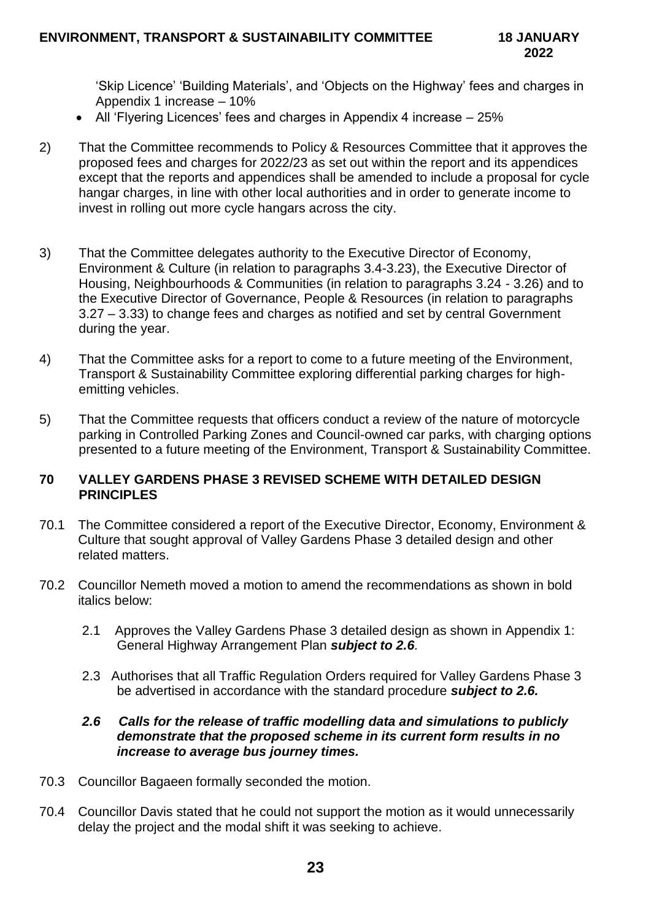'Skip Licence' 'Building Materials', and 'Objects on the Highway' fees and charges in Appendix 1 increase – 10%

- All 'Flyering Licences' fees and charges in Appendix 4 increase 25%
- 2) That the Committee recommends to Policy & Resources Committee that it approves the proposed fees and charges for 2022/23 as set out within the report and its appendices except that the reports and appendices shall be amended to include a proposal for cycle hangar charges, in line with other local authorities and in order to generate income to invest in rolling out more cycle hangars across the city.
- 3) That the Committee delegates authority to the Executive Director of Economy, Environment & Culture (in relation to paragraphs 3.4-3.23), the Executive Director of Housing, Neighbourhoods & Communities (in relation to paragraphs 3.24 - 3.26) and to the Executive Director of Governance, People & Resources (in relation to paragraphs 3.27 – 3.33) to change fees and charges as notified and set by central Government during the year.
- 4) That the Committee asks for a report to come to a future meeting of the Environment, Transport & Sustainability Committee exploring differential parking charges for highemitting vehicles.
- 5) That the Committee requests that officers conduct a review of the nature of motorcycle parking in Controlled Parking Zones and Council-owned car parks, with charging options presented to a future meeting of the Environment, Transport & Sustainability Committee.

## **70 VALLEY GARDENS PHASE 3 REVISED SCHEME WITH DETAILED DESIGN PRINCIPLES**

- 70.1 The Committee considered a report of the Executive Director, Economy, Environment & Culture that sought approval of Valley Gardens Phase 3 detailed design and other related matters.
- 70.2 Councillor Nemeth moved a motion to amend the recommendations as shown in bold italics below:
	- 2.1 Approves the Valley Gardens Phase 3 detailed design as shown in Appendix 1: General Highway Arrangement Plan *subject to 2.6.*
	- 2.3 Authorises that all Traffic Regulation Orders required for Valley Gardens Phase 3 be advertised in accordance with the standard procedure *subject to 2.6.*

### *2.6 Calls for the release of traffic modelling data and simulations to publicly demonstrate that the proposed scheme in its current form results in no increase to average bus journey times.*

- 70.3 Councillor Bagaeen formally seconded the motion.
- 70.4 Councillor Davis stated that he could not support the motion as it would unnecessarily delay the project and the modal shift it was seeking to achieve.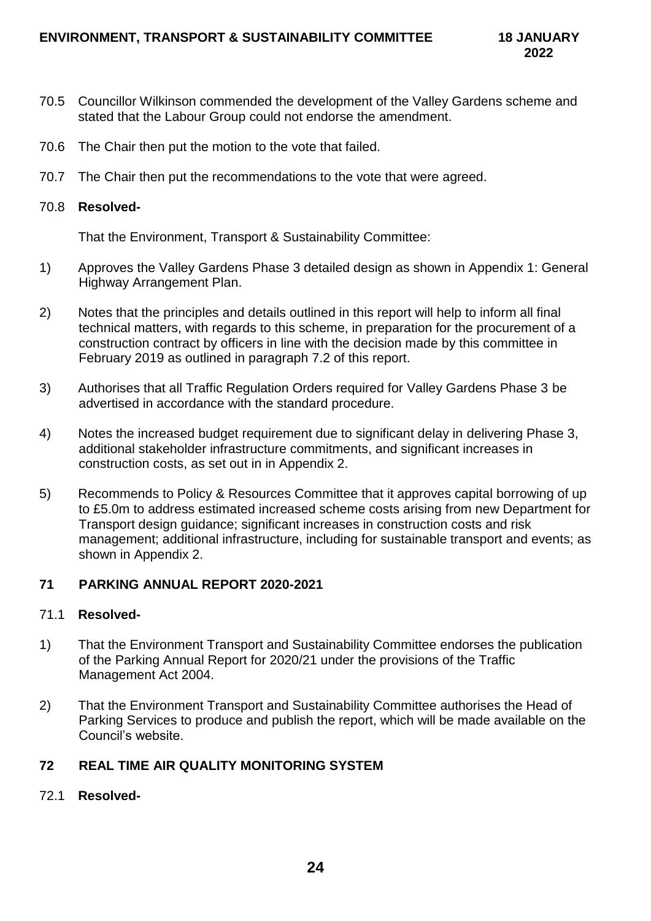- 70.5 Councillor Wilkinson commended the development of the Valley Gardens scheme and stated that the Labour Group could not endorse the amendment.
- 70.6 The Chair then put the motion to the vote that failed.
- 70.7 The Chair then put the recommendations to the vote that were agreed.

#### 70.8 **Resolved-**

That the Environment, Transport & Sustainability Committee:

- 1) Approves the Valley Gardens Phase 3 detailed design as shown in Appendix 1: General Highway Arrangement Plan.
- 2) Notes that the principles and details outlined in this report will help to inform all final technical matters, with regards to this scheme, in preparation for the procurement of a construction contract by officers in line with the decision made by this committee in February 2019 as outlined in paragraph 7.2 of this report.
- 3) Authorises that all Traffic Regulation Orders required for Valley Gardens Phase 3 be advertised in accordance with the standard procedure.
- 4) Notes the increased budget requirement due to significant delay in delivering Phase 3, additional stakeholder infrastructure commitments, and significant increases in construction costs, as set out in in Appendix 2.
- 5) Recommends to Policy & Resources Committee that it approves capital borrowing of up to £5.0m to address estimated increased scheme costs arising from new Department for Transport design guidance; significant increases in construction costs and risk management; additional infrastructure, including for sustainable transport and events; as shown in Appendix 2.

### **71 PARKING ANNUAL REPORT 2020-2021**

#### 71.1 **Resolved-**

- 1) That the Environment Transport and Sustainability Committee endorses the publication of the Parking Annual Report for 2020/21 under the provisions of the Traffic Management Act 2004.
- 2) That the Environment Transport and Sustainability Committee authorises the Head of Parking Services to produce and publish the report, which will be made available on the Council's website.

### **72 REAL TIME AIR QUALITY MONITORING SYSTEM**

72.1 **Resolved-**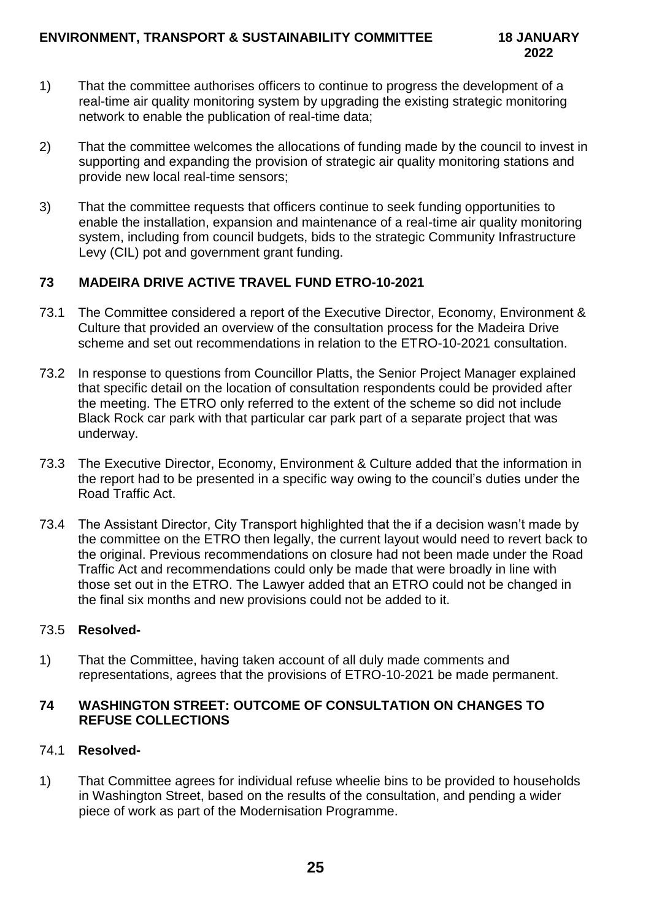- 1) That the committee authorises officers to continue to progress the development of a real-time air quality monitoring system by upgrading the existing strategic monitoring network to enable the publication of real-time data;
- 2) That the committee welcomes the allocations of funding made by the council to invest in supporting and expanding the provision of strategic air quality monitoring stations and provide new local real-time sensors;
- 3) That the committee requests that officers continue to seek funding opportunities to enable the installation, expansion and maintenance of a real-time air quality monitoring system, including from council budgets, bids to the strategic Community Infrastructure Levy (CIL) pot and government grant funding.

# **73 MADEIRA DRIVE ACTIVE TRAVEL FUND ETRO-10-2021**

- 73.1 The Committee considered a report of the Executive Director, Economy, Environment & Culture that provided an overview of the consultation process for the Madeira Drive scheme and set out recommendations in relation to the ETRO-10-2021 consultation.
- 73.2 In response to questions from Councillor Platts, the Senior Project Manager explained that specific detail on the location of consultation respondents could be provided after the meeting. The ETRO only referred to the extent of the scheme so did not include Black Rock car park with that particular car park part of a separate project that was underway.
- 73.3 The Executive Director, Economy, Environment & Culture added that the information in the report had to be presented in a specific way owing to the council's duties under the Road Traffic Act.
- 73.4 The Assistant Director, City Transport highlighted that the if a decision wasn't made by the committee on the ETRO then legally, the current layout would need to revert back to the original. Previous recommendations on closure had not been made under the Road Traffic Act and recommendations could only be made that were broadly in line with those set out in the ETRO. The Lawyer added that an ETRO could not be changed in the final six months and new provisions could not be added to it.

### 73.5 **Resolved-**

1) That the Committee, having taken account of all duly made comments and representations, agrees that the provisions of ETRO-10-2021 be made permanent.

## **74 WASHINGTON STREET: OUTCOME OF CONSULTATION ON CHANGES TO REFUSE COLLECTIONS**

# 74.1 **Resolved-**

1) That Committee agrees for individual refuse wheelie bins to be provided to households in Washington Street, based on the results of the consultation, and pending a wider piece of work as part of the Modernisation Programme.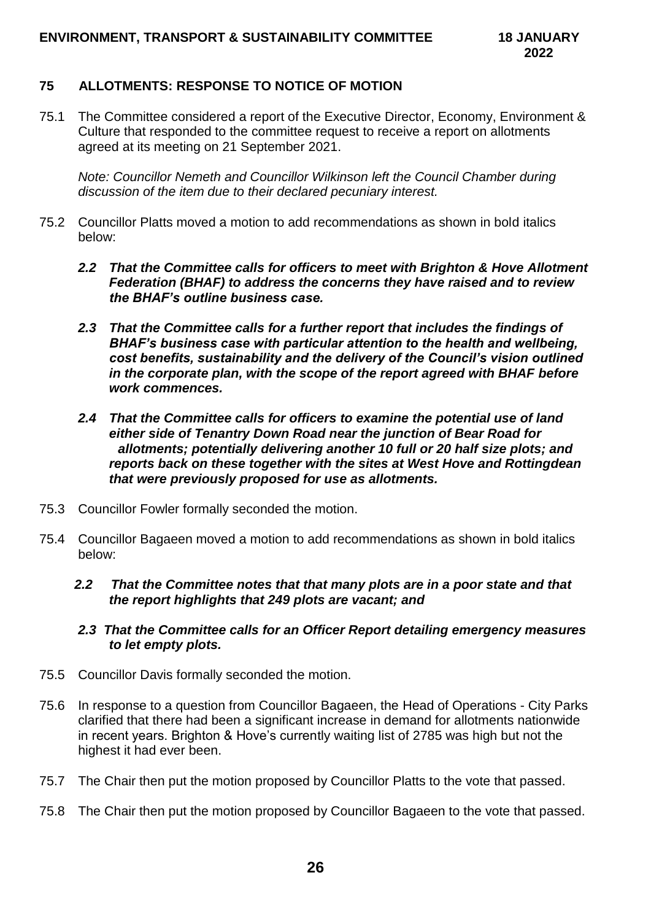## **75 ALLOTMENTS: RESPONSE TO NOTICE OF MOTION**

75.1 The Committee considered a report of the Executive Director, Economy, Environment & Culture that responded to the committee request to receive a report on allotments agreed at its meeting on 21 September 2021.

*Note: Councillor Nemeth and Councillor Wilkinson left the Council Chamber during discussion of the item due to their declared pecuniary interest.* 

- 75.2 Councillor Platts moved a motion to add recommendations as shown in bold italics below:
	- *2.2 That the Committee calls for officers to meet with Brighton & Hove Allotment Federation (BHAF) to address the concerns they have raised and to review the BHAF's outline business case.*
	- *2.3 That the Committee calls for a further report that includes the findings of BHAF's business case with particular attention to the health and wellbeing, cost benefits, sustainability and the delivery of the Council's vision outlined in the corporate plan, with the scope of the report agreed with BHAF before work commences.*
	- *2.4 That the Committee calls for officers to examine the potential use of land either side of Tenantry Down Road near the junction of Bear Road for allotments; potentially delivering another 10 full or 20 half size plots; and reports back on these together with the sites at West Hove and Rottingdean that were previously proposed for use as allotments.*
- 75.3 Councillor Fowler formally seconded the motion.
- 75.4 Councillor Bagaeen moved a motion to add recommendations as shown in bold italics below:
	- *2.2 That the Committee notes that that many plots are in a poor state and that the report highlights that 249 plots are vacant; and*
	- *2.3 That the Committee calls for an Officer Report detailing emergency measures to let empty plots.*
- 75.5 Councillor Davis formally seconded the motion.
- 75.6 In response to a question from Councillor Bagaeen, the Head of Operations City Parks clarified that there had been a significant increase in demand for allotments nationwide in recent years. Brighton & Hove's currently waiting list of 2785 was high but not the highest it had ever been.
- 75.7 The Chair then put the motion proposed by Councillor Platts to the vote that passed.
- 75.8 The Chair then put the motion proposed by Councillor Bagaeen to the vote that passed.